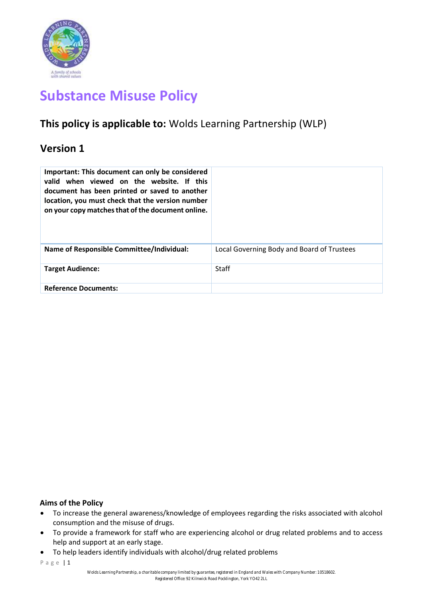

# **Substance Misuse Policy**

# **This policy is applicable to:** Wolds Learning Partnership (WLP)

# **Version 1**

| Important: This document can only be considered<br>valid when viewed on the website. If this<br>document has been printed or saved to another<br>location, you must check that the version number<br>on your copy matches that of the document online. |                                            |
|--------------------------------------------------------------------------------------------------------------------------------------------------------------------------------------------------------------------------------------------------------|--------------------------------------------|
| <b>Name of Responsible Committee/Individual:</b>                                                                                                                                                                                                       | Local Governing Body and Board of Trustees |
| <b>Target Audience:</b>                                                                                                                                                                                                                                | <b>Staff</b>                               |
| <b>Reference Documents:</b>                                                                                                                                                                                                                            |                                            |

# **Aims of the Policy**

- To increase the general awareness/knowledge of employees regarding the risks associated with alcohol consumption and the misuse of drugs.
- To provide a framework for staff who are experiencing alcohol or drug related problems and to access help and support at an early stage.
- To help leaders identify individuals with alcohol/drug related problems

P a g e | 1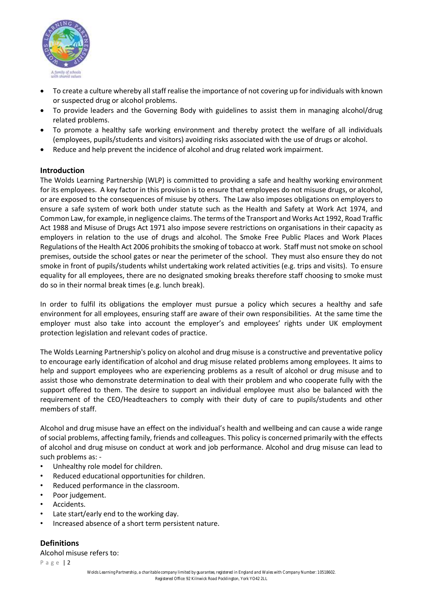

- To create a culture whereby all staff realise the importance of not covering up for individuals with known or suspected drug or alcohol problems.
- To provide leaders and the Governing Body with guidelines to assist them in managing alcohol/drug related problems.
- To promote a healthy safe working environment and thereby protect the welfare of all individuals (employees, pupils/students and visitors) avoiding risks associated with the use of drugs or alcohol.
- Reduce and help prevent the incidence of alcohol and drug related work impairment.

# **Introduction**

The Wolds Learning Partnership (WLP) is committed to providing a safe and healthy working environment for its employees. A key factor in this provision is to ensure that employees do not misuse drugs, or alcohol, or are exposed to the consequences of misuse by others. The Law also imposes obligations on employers to ensure a safe system of work both under statute such as the Health and Safety at Work Act 1974, and Common Law, for example, in negligence claims. The terms of the Transport and Works Act 1992, Road Traffic Act 1988 and Misuse of Drugs Act 1971 also impose severe restrictions on organisations in their capacity as employers in relation to the use of drugs and alcohol. The Smoke Free Public Places and Work Places Regulations of the Health Act 2006 prohibits the smoking of tobacco at work. Staff must not smoke on school premises, outside the school gates or near the perimeter of the school. They must also ensure they do not smoke in front of pupils/students whilst undertaking work related activities (e.g. trips and visits). To ensure equality for all employees, there are no designated smoking breaks therefore staff choosing to smoke must do so in their normal break times (e.g. lunch break).

In order to fulfil its obligations the employer must pursue a policy which secures a healthy and safe environment for all employees, ensuring staff are aware of their own responsibilities. At the same time the employer must also take into account the employer's and employees' rights under UK employment protection legislation and relevant codes of practice.

The Wolds Learning Partnership's policy on alcohol and drug misuse is a constructive and preventative policy to encourage early identification of alcohol and drug misuse related problems among employees. It aims to help and support employees who are experiencing problems as a result of alcohol or drug misuse and to assist those who demonstrate determination to deal with their problem and who cooperate fully with the support offered to them. The desire to support an individual employee must also be balanced with the requirement of the CEO/Headteachers to comply with their duty of care to pupils/students and other members of staff.

Alcohol and drug misuse have an effect on the individual's health and wellbeing and can cause a wide range of social problems, affecting family, friends and colleagues. This policy is concerned primarily with the effects of alcohol and drug misuse on conduct at work and job performance. Alcohol and drug misuse can lead to such problems as: ‐

- Unhealthy role model for children.
- Reduced educational opportunities for children.
- Reduced performance in the classroom.
- Poor judgement.
- Accidents.
- Late start/early end to the working day.
- Increased absence of a short term persistent nature.

**Definitions** Alcohol misuse refers to: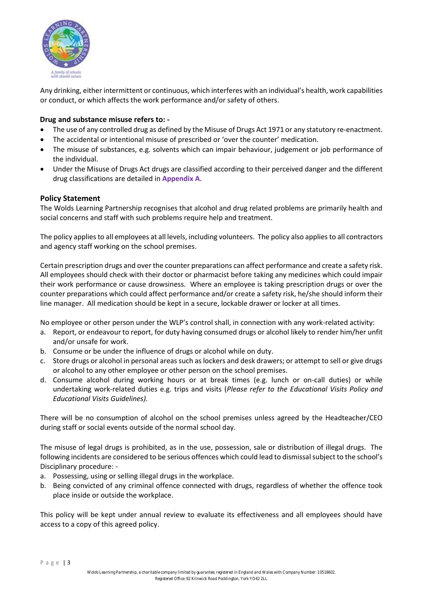

Any drinking, either intermittent or continuous, which interferes with an individual's health, work capabilities or conduct, or which affects the work performance and/or safety of others.

### **Drug and substance misuse refers to: ‐**

- The use of any controlled drug as defined by the Misuse of Drugs Act 1971 or any statutory re-enactment.
- The accidental or intentional misuse of prescribed or 'over the counter' medication.
- The misuse of substances, e.g. solvents which can impair behaviour, judgement or job performance of the individual.
- Under the Misuse of Drugs Act drugs are classified according to their perceived danger and the different drug classifications are detailed in **Appendix A**.

### **Policy Statement**

The Wolds Learning Partnership recognises that alcohol and drug related problems are primarily health and social concerns and staff with such problems require help and treatment.

The policy applies to all employees at all levels, including volunteers. The policy also applies to all contractors and agency staff working on the school premises.

Certain prescription drugs and over the counter preparations can affect performance and create a safety risk. All employees should check with their doctor or pharmacist before taking any medicines which could impair their work performance or cause drowsiness. Where an employee is taking prescription drugs or over the counter preparations which could affect performance and/or create a safety risk, he/she should inform their line manager. All medication should be kept in a secure, lockable drawer or locker at all times.

No employee or other person under the WLP's control shall, in connection with any work‐related activity:

- a. Report, or endeavour to report, for duty having consumed drugs or alcohol likely to render him/her unfit and/or unsafe for work.
- b. Consume or be under the influence of drugs or alcohol while on duty.
- c. Store drugs or alcohol in personal areas such as lockers and desk drawers; or attempt to sell or give drugs or alcohol to any other employee or other person on the school premises.
- d. Consume alcohol during working hours or at break times (e.g. lunch or on‐call duties) or while undertaking work‐related duties e.g. trips and visits (*Please refer to the Educational Visits Policy and Educational Visits Guidelines).*

There will be no consumption of alcohol on the school premises unless agreed by the Headteacher/CEO during staff or social events outside of the normal school day.

The misuse of legal drugs is prohibited, as in the use, possession, sale or distribution of illegal drugs. The following incidents are considered to be serious offences which could lead to dismissal subject to the school's Disciplinary procedure: ‐

- a. Possessing, using or selling illegal drugs in the workplace.
- b. Being convicted of any criminal offence connected with drugs, regardless of whether the offence took place inside or outside the workplace.

This policy will be kept under annual review to evaluate its effectiveness and all employees should have access to a copy of this agreed policy.

P a g e | 3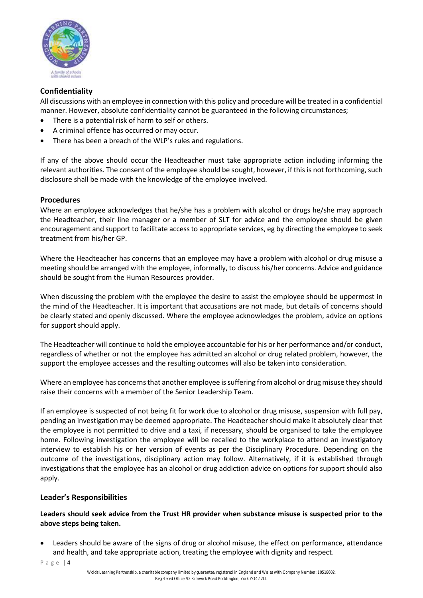

# **Confidentiality**

All discussions with an employee in connection with this policy and procedure will be treated in a confidential manner. However, absolute confidentiality cannot be guaranteed in the following circumstances;

- There is a potential risk of harm to self or others.
- A criminal offence has occurred or may occur.
- There has been a breach of the WLP's rules and regulations.

If any of the above should occur the Headteacher must take appropriate action including informing the relevant authorities. The consent of the employee should be sought, however, if this is not forthcoming, such disclosure shall be made with the knowledge of the employee involved.

# **Procedures**

Where an employee acknowledges that he/she has a problem with alcohol or drugs he/she may approach the Headteacher, their line manager or a member of SLT for advice and the employee should be given encouragement and support to facilitate access to appropriate services, eg by directing the employee to seek treatment from his/her GP.

Where the Headteacher has concerns that an employee may have a problem with alcohol or drug misuse a meeting should be arranged with the employee, informally, to discuss his/her concerns. Advice and guidance should be sought from the Human Resources provider.

When discussing the problem with the employee the desire to assist the employee should be uppermost in the mind of the Headteacher. It is important that accusations are not made, but details of concerns should be clearly stated and openly discussed. Where the employee acknowledges the problem, advice on options for support should apply.

The Headteacher will continue to hold the employee accountable for his or her performance and/or conduct, regardless of whether or not the employee has admitted an alcohol or drug related problem, however, the support the employee accesses and the resulting outcomes will also be taken into consideration.

Where an employee has concerns that another employee is suffering from alcohol or drug misuse they should raise their concerns with a member of the Senior Leadership Team.

If an employee is suspected of not being fit for work due to alcohol or drug misuse, suspension with full pay, pending an investigation may be deemed appropriate. The Headteacher should make it absolutely clear that the employee is not permitted to drive and a taxi, if necessary, should be organised to take the employee home. Following investigation the employee will be recalled to the workplace to attend an investigatory interview to establish his or her version of events as per the Disciplinary Procedure. Depending on the outcome of the investigations, disciplinary action may follow. Alternatively, if it is established through investigations that the employee has an alcohol or drug addiction advice on options for support should also apply.

# **Leader's Responsibilities**

# **Leaders should seek advice from the Trust HR provider when substance misuse is suspected prior to the above steps being taken.**

• Leaders should be aware of the signs of drug or alcohol misuse, the effect on performance, attendance and health, and take appropriate action, treating the employee with dignity and respect.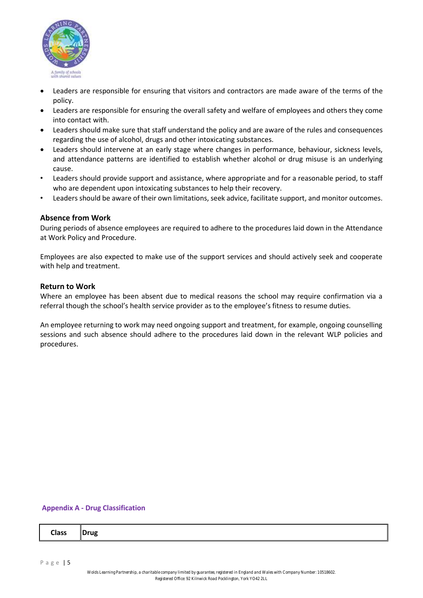

- Leaders are responsible for ensuring that visitors and contractors are made aware of the terms of the policy.
- Leaders are responsible for ensuring the overall safety and welfare of employees and others they come into contact with.
- Leaders should make sure that staff understand the policy and are aware of the rules and consequences regarding the use of alcohol, drugs and other intoxicating substances.
- Leaders should intervene at an early stage where changes in performance, behaviour, sickness levels, and attendance patterns are identified to establish whether alcohol or drug misuse is an underlying cause.
- Leaders should provide support and assistance, where appropriate and for a reasonable period, to staff who are dependent upon intoxicating substances to help their recovery.
- Leaders should be aware of their own limitations, seek advice, facilitate support, and monitor outcomes.

### **Absence from Work**

During periods of absence employees are required to adhere to the procedures laid down in the Attendance at Work Policy and Procedure.

Employees are also expected to make use of the support services and should actively seek and cooperate with help and treatment.

#### **Return to Work**

Where an employee has been absent due to medical reasons the school may require confirmation via a referral though the school's health service provider as to the employee's fitness to resume duties.

An employee returning to work may need ongoing support and treatment, for example, ongoing counselling sessions and such absence should adhere to the procedures laid down in the relevant WLP policies and procedures.

#### **Appendix A ‐ Drug Classification**

| <b>Class</b><br>Drug |  |  |  |
|----------------------|--|--|--|
|----------------------|--|--|--|

P a g e | 5